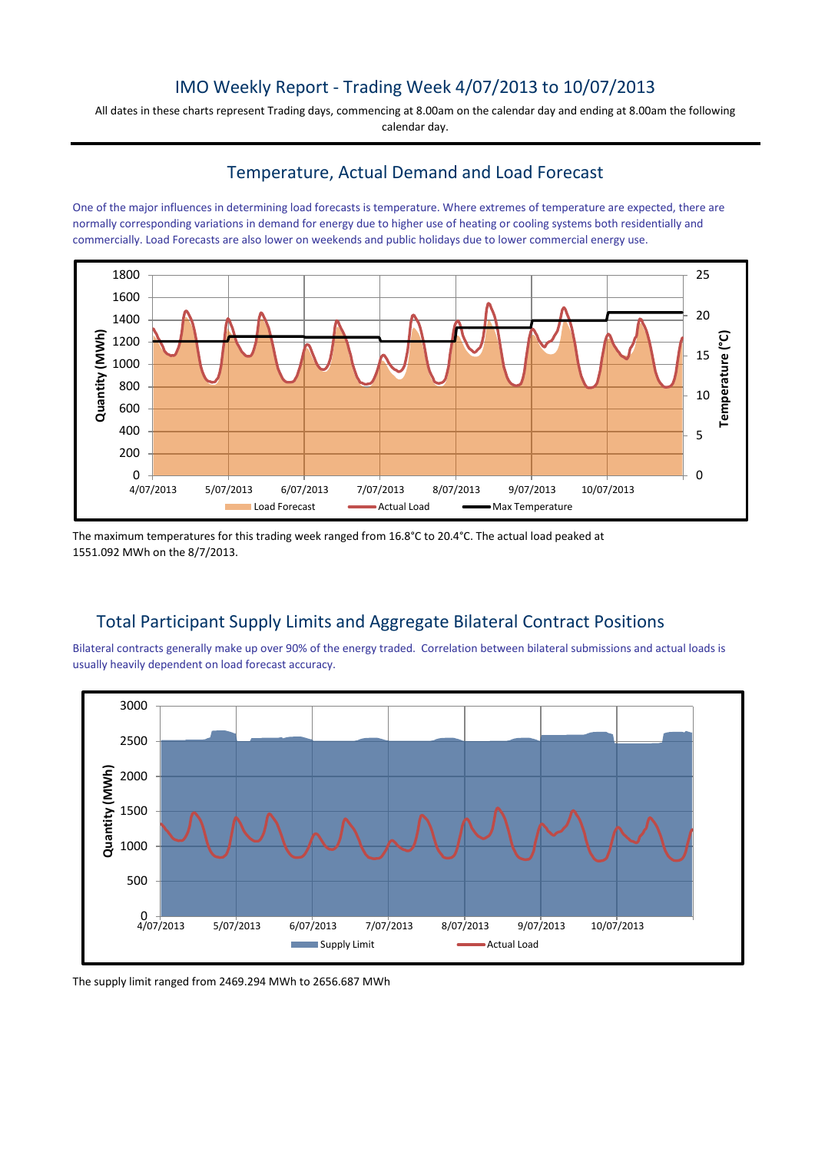### IMO Weekly Report - Trading Week 4/07/2013 to 10/07/2013

All dates in these charts represent Trading days, commencing at 8.00am on the calendar day and ending at 8.00am the following calendar day.

#### Temperature, Actual Demand and Load Forecast

One of the major influences in determining load forecasts is temperature. Where extremes of temperature are expected, there are normally corresponding variations in demand for energy due to higher use of heating or cooling systems both residentially and commercially. Load Forecasts are also lower on weekends and public holidays due to lower commercial energy use.



The maximum temperatures for this trading week ranged from 16.8°C to 20.4°C. The actual load peaked at 1551.092 MWh on the 8/7/2013.

# Total Participant Supply Limits and Aggregate Bilateral Contract Positions

Bilateral contracts generally make up over 90% of the energy traded. Correlation between bilateral submissions and actual loads is usually heavily dependent on load forecast accuracy.



The supply limit ranged from 2469.294 MWh to 2656.687 MWh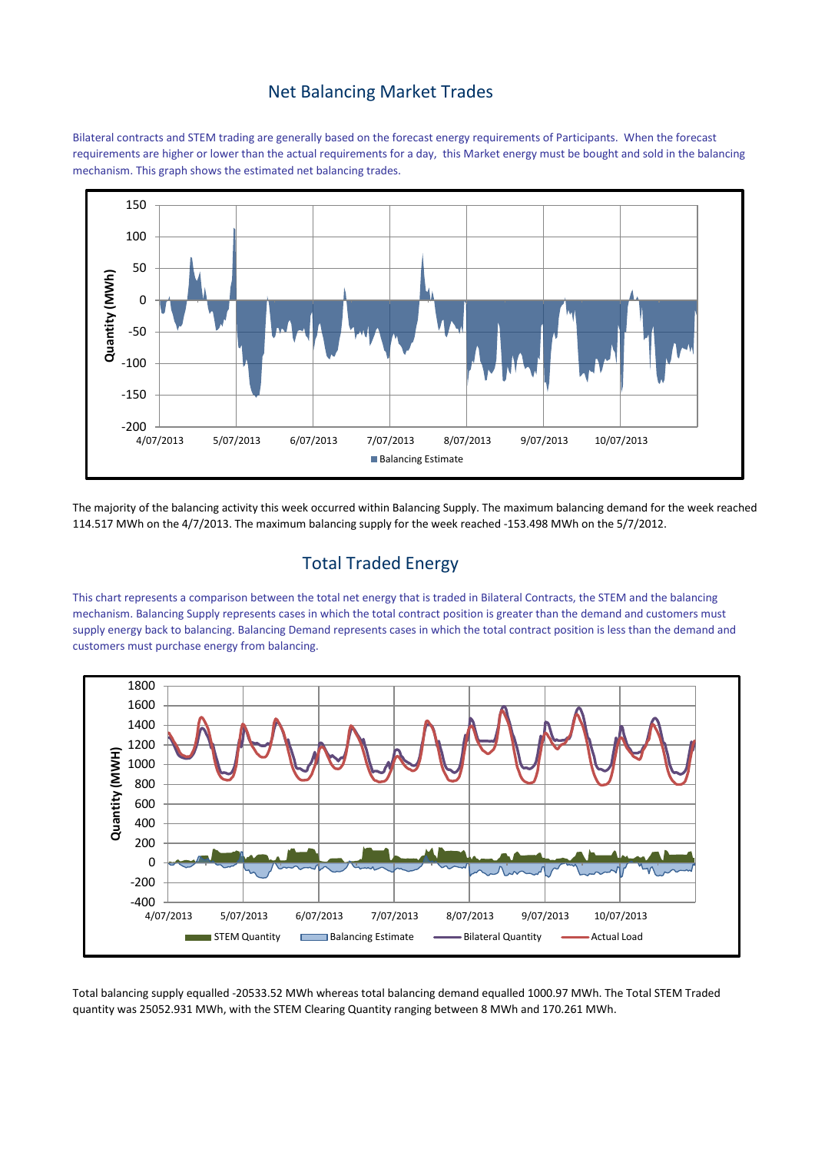#### Net Balancing Market Trades

Bilateral contracts and STEM trading are generally based on the forecast energy requirements of Participants. When the forecast requirements are higher or lower than the actual requirements for a day, this Market energy must be bought and sold in the balancing mechanism. This graph shows the estimated net balancing trades.



The majority of the balancing activity this week occurred within Balancing Supply. The maximum balancing demand for the week reached 114.517 MWh on the 4/7/2013. The maximum balancing supply for the week reached -153.498 MWh on the 5/7/2012.

# Total Traded Energy

This chart represents a comparison between the total net energy that is traded in Bilateral Contracts, the STEM and the balancing mechanism. Balancing Supply represents cases in which the total contract position is greater than the demand and customers must supply energy back to balancing. Balancing Demand represents cases in which the total contract position is less than the demand and customers must purchase energy from balancing.



Total balancing supply equalled -20533.52 MWh whereas total balancing demand equalled 1000.97 MWh. The Total STEM Traded quantity was 25052.931 MWh, with the STEM Clearing Quantity ranging between 8 MWh and 170.261 MWh.